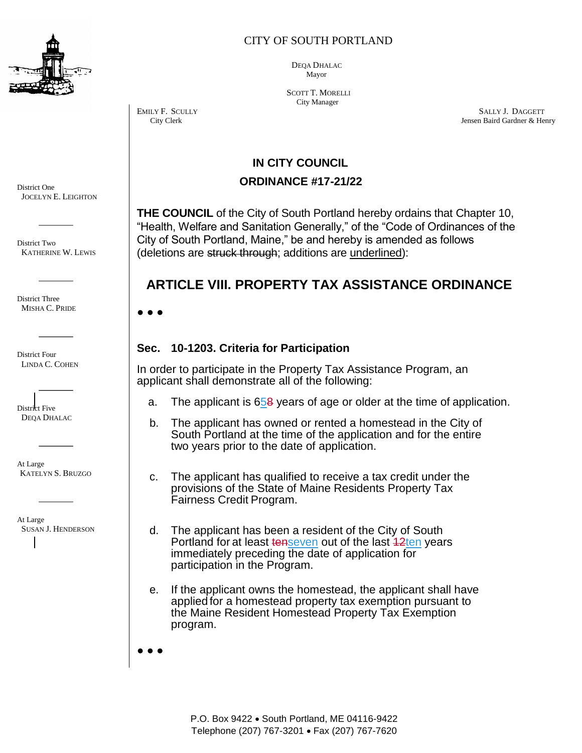

CITY OF SOUTH PORTLAND

 DEQA DHALAC Mayor

 SCOTT T. MORELLI City Manager

EMILY F. SCULLY SALLY J. DAGGETT City Clerk Jensen Baird Gardner & Henry

## **IN CITY COUNCIL**

### **ORDINANCE #17-21/22**

**THE COUNCIL** of the City of South Portland hereby ordains that Chapter 10, "Health, Welfare and Sanitation Generally," of the "Code of Ordinances of the City of South Portland, Maine," be and hereby is amended as follows (deletions are struck through; additions are underlined):

# **ARTICLE VIII. PROPERTY TAX ASSISTANCE ORDINANCE**

**● ● ●**

### **Sec. 10-1203. Criteria for Participation**

In order to participate in the Property Tax Assistance Program, an applicant shall demonstrate all of the following:

- a. The applicant is  $658$  years of age or older at the time of application.
- b. The applicant has owned or rented a homestead in the City of South Portland at the time of the application and for the entire two years prior to the date of application.
- c. The applicant has qualified to receive a tax credit under the provisions of the State of Maine Residents Property Tax Fairness Credit Program.
- d. The applicant has been a resident of the City of South Portland for at least tenseven out of the last 42ten years immediately preceding the date of application for participation in the Program.
- e. If the applicant owns the homestead, the applicant shall have applied for a homestead property tax exemption pursuant to the Maine Resident Homestead Property Tax Exemption program.

**● ● ●**

District One JOCELYN E. LEIGHTON

District Two KATHERINE W. LEWIS

District Three MISHA C. PRIDE

District Four LINDA C. COHEN

District Five DEQA DHALAC

At Large KATELYN S. BRUZGO

At Large SUSAN J. HENDERSON